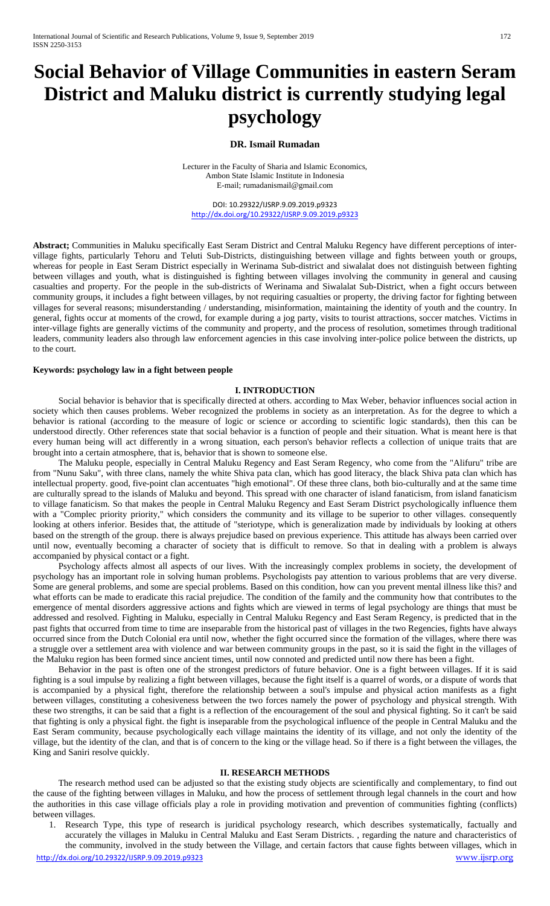# **Social Behavior of Village Communities in eastern Seram District and Maluku district is currently studying legal psychology**

### **DR. Ismail Rumadan**

Lecturer in the Faculty of Sharia and Islamic Economics, Ambon State Islamic Institute in Indonesia E-mail; r[umadanismail@gmail.com](mailto:rumadanismail@gmail.com)

DOI: 10.29322/IJSRP.9.09.2019.p9323 <http://dx.doi.org/10.29322/IJSRP.9.09.2019.p9323>

**Abstract;** Communities in Maluku specifically East Seram District and Central Maluku Regency have different perceptions of intervillage fights, particularly Tehoru and Teluti Sub-Districts, distinguishing between village and fights between youth or groups, whereas for people in East Seram District especially in Werinama Sub-district and siwalalat does not distinguish between fighting between villages and youth, what is distinguished is fighting between villages involving the community in general and causing casualties and property. For the people in the sub-districts of Werinama and Siwalalat Sub-District, when a fight occurs between community groups, it includes a fight between villages, by not requiring casualties or property, the driving factor for fighting between villages for several reasons; misunderstanding / understanding, misinformation, maintaining the identity of youth and the country. In general, fights occur at moments of the crowd, for example during a jog party, visits to tourist attractions, soccer matches. Victims in inter-village fights are generally victims of the community and property, and the process of resolution, sometimes through traditional leaders, community leaders also through law enforcement agencies in this case involving inter-police police between the districts, up to the court.

#### **Keywords: psychology law in a fight between people**

## **I. INTRODUCTION**

Social behavior is behavior that is specifically directed at others. according to Max Weber, behavior influences social action in society which then causes problems. Weber recognized the problems in society as an interpretation. As for the degree to which a behavior is rational (according to the measure of logic or science or according to scientific logic standards), then this can be understood directly. Other references state that social behavior is a function of people and their situation. What is meant here is that every human being will act differently in a wrong situation, each person's behavior reflects a collection of unique traits that are brought into a certain atmosphere, that is, behavior that is shown to someone else.

The Maluku people, especially in Central Maluku Regency and East Seram Regency, who come from the "Alifuru" tribe are from "Nunu Saku", with three clans, namely the white Shiva pata clan, which has good literacy, the black Shiva pata clan which has intellectual property. good, five-point clan accentuates "high emotional". Of these three clans, both bio-culturally and at the same time are culturally spread to the islands of Maluku and beyond. This spread with one character of island fanaticism, from island fanaticism to village fanaticism. So that makes the people in Central Maluku Regency and East Seram District psychologically influence them with a "Complec priority priority," which considers the community and its village to be superior to other villages. consequently looking at others inferior. Besides that, the attitude of "steriotype, which is generalization made by individuals by looking at others based on the strength of the group. there is always prejudice based on previous experience. This attitude has always been carried over until now, eventually becoming a character of society that is difficult to remove. So that in dealing with a problem is always accompanied by physical contact or a fight.

Psychology affects almost all aspects of our lives. With the increasingly complex problems in society, the development of psychology has an important role in solving human problems. Psychologists pay attention to various problems that are very diverse. Some are general problems, and some are special problems. Based on this condition, how can you prevent mental illness like this? and what efforts can be made to eradicate this racial prejudice. The condition of the family and the community how that contributes to the emergence of mental disorders aggressive actions and fights which are viewed in terms of legal psychology are things that must be addressed and resolved. Fighting in Maluku, especially in Central Maluku Regency and East Seram Regency, is predicted that in the past fights that occurred from time to time are inseparable from the historical past of villages in the two Regencies, fights have always occurred since from the Dutch Colonial era until now, whether the fight occurred since the formation of the villages, where there was a struggle over a settlement area with violence and war between community groups in the past, so it is said the fight in the villages of the Maluku region has been formed since ancient times, until now connoted and predicted until now there has been a fight.

Behavior in the past is often one of the strongest predictors of future behavior. One is a fight between villages. If it is said fighting is a soul impulse by realizing a fight between villages, because the fight itself is a quarrel of words, or a dispute of words that is accompanied by a physical fight, therefore the relationship between a soul's impulse and physical action manifests as a fight between villages, constituting a cohesiveness between the two forces namely the power of psychology and physical strength. With these two strengths, it can be said that a fight is a reflection of the encouragement of the soul and physical fighting. So it can't be said that fighting is only a physical fight. the fight is inseparable from the psychological influence of the people in Central Maluku and the East Seram community, because psychologically each village maintains the identity of its village, and not only the identity of the village, but the identity of the clan, and that is of concern to the king or the village head. So if there is a fight between the villages, the King and Saniri resolve quickly.

#### **II. RESEARCH METHODS**

The research method used can be adjusted so that the existing study objects are scientifically and complementary, to find out the cause of the fighting between villages in Maluku, and how the process of settlement through legal channels in the court and how the authorities in this case village officials play a role in providing motivation and prevention of communities fighting (conflicts) between villages.

1. Research Type, this type of research is juridical psychology research, which describes systematically, factually and accurately the villages in Maluku in Central Maluku and East Seram Districts. , regarding the nature and characteristics of the community, involved in the study between the Village, and certain factors that cause fights between villages, which in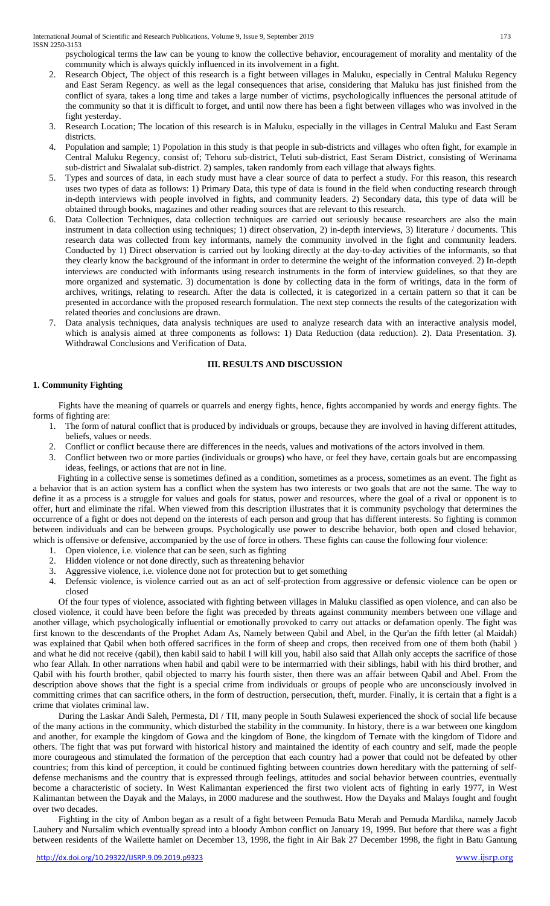psychological terms the law can be young to know the collective behavior, encouragement of morality and mentality of the community which is always quickly influenced in its involvement in a fight.

- 2. Research Object, The object of this research is a fight between villages in Maluku, especially in Central Maluku Regency and East Seram Regency. as well as the legal consequences that arise, considering that Maluku has just finished from the conflict of syara, takes a long time and takes a large number of victims, psychologically influences the personal attitude of the community so that it is difficult to forget, and until now there has been a fight between villages who was involved in the fight yesterday.
- 3. Research Location; The location of this research is in Maluku, especially in the villages in Central Maluku and East Seram districts.
- 4. Population and sample; 1) Popolation in this study is that people in sub-districts and villages who often fight, for example in Central Maluku Regency, consist of; Tehoru sub-district, Teluti sub-district, East Seram District, consisting of Werinama sub-district and Siwalalat sub-district. 2) samples, taken randomly from each village that always fights.
- 5. Types and sources of data, in each study must have a clear source of data to perfect a study. For this reason, this research uses two types of data as follows: 1) Primary Data, this type of data is found in the field when conducting research through in-depth interviews with people involved in fights, and community leaders. 2) Secondary data, this type of data will be obtained through books, magazines and other reading sources that are relevant to this research.
- 6. Data Collection Techniques, data collection techniques are carried out seriously because researchers are also the main instrument in data collection using techniques; 1) direct observation, 2) in-depth interviews, 3) literature / documents. This research data was collected from key informants, namely the community involved in the fight and community leaders. Conducted by 1) Direct observation is carried out by looking directly at the day-to-day activities of the informants, so that they clearly know the background of the informant in order to determine the weight of the information conveyed. 2) In-depth interviews are conducted with informants using research instruments in the form of interview guidelines, so that they are more organized and systematic. 3) documentation is done by collecting data in the form of writings, data in the form of archives, writings, relating to research. After the data is collected, it is categorized in a certain pattern so that it can be presented in accordance with the proposed research formulation. The next step connects the results of the categorization with related theories and conclusions are drawn.
- 7. Data analysis techniques, data analysis techniques are used to analyze research data with an interactive analysis model, which is analysis aimed at three components as follows: 1) Data Reduction (data reduction). 2). Data Presentation. 3). Withdrawal Conclusions and Verification of Data.

### **III. RESULTS AND DISCUSSION**

# **1. Community Fighting**

Fights have the meaning of quarrels or quarrels and energy fights, hence, fights accompanied by words and energy fights. The forms of fighting are:

- 1. The form of natural conflict that is produced by individuals or groups, because they are involved in having different attitudes, beliefs, values or needs.
- 2. Conflict or conflict because there are differences in the needs, values and motivations of the actors involved in them.
- 3. Conflict between two or more parties (individuals or groups) who have, or feel they have, certain goals but are encompassing ideas, feelings, or actions that are not in line.

Fighting in a collective sense is sometimes defined as a condition, sometimes as a process, sometimes as an event. The fight as a behavior that is an action system has a conflict when the system has two interests or two goals that are not the same. The way to define it as a process is a struggle for values and goals for status, power and resources, where the goal of a rival or opponent is to offer, hurt and eliminate the rifal. When viewed from this description illustrates that it is community psychology that determines the occurrence of a fight or does not depend on the interests of each person and group that has different interests. So fighting is common between individuals and can be between groups. Psychologically use power to describe behavior, both open and closed behavior, which is offensive or defensive, accompanied by the use of force in others. These fights can cause the following four violence:

- 1. Open violence, i.e. violence that can be seen, such as fighting
- 2. Hidden violence or not done directly, such as threatening behavior
- 3. Aggressive violence, i.e. violence done not for protection but to get something
- 4. Defensic violence, is violence carried out as an act of self-protection from aggressive or defensic violence can be open or closed

Of the four types of violence, associated with fighting between villages in Maluku classified as open violence, and can also be closed violence, it could have been before the fight was preceded by threats against community members between one village and another village, which psychologically influential or emotionally provoked to carry out attacks or defamation openly. The fight was first known to the descendants of the Prophet Adam As, Namely between Qabil and Abel, in the Qur'an the fifth letter (al Maidah) was explained that Qabil when both offered sacrifices in the form of sheep and crops, then received from one of them both (habil ) and what he did not receive (qabil), then kabil said to habil I will kill you, habil also said that Allah only accepts the sacrifice of those who fear Allah. In other narrations when habil and qabil were to be intermarried with their siblings, habil with his third brother, and Qabil with his fourth brother, qabil objected to marry his fourth sister, then there was an affair between Qabil and Abel. From the description above shows that the fight is a special crime from individuals or groups of people who are unconsciously involved in committing crimes that can sacrifice others, in the form of destruction, persecution, theft, murder. Finally, it is certain that a fight is a crime that violates criminal law.

During the Laskar Andi Saleh, Permesta, DI / TII, many people in South Sulawesi experienced the shock of social life because of the many actions in the community, which disturbed the stability in the community. In history, there is a war between one kingdom and another, for example the kingdom of Gowa and the kingdom of Bone, the kingdom of Ternate with the kingdom of Tidore and others. The fight that was put forward with historical history and maintained the identity of each country and self, made the people more courageous and stimulated the formation of the perception that each country had a power that could not be defeated by other countries; from this kind of perception, it could be continued fighting between countries down hereditary with the patterning of selfdefense mechanisms and the country that is expressed through feelings, attitudes and social behavior between countries, eventually become a characteristic of society. In West Kalimantan experienced the first two violent acts of fighting in early 1977, in West Kalimantan between the Dayak and the Malays, in 2000 madurese and the southwest. How the Dayaks and Malays fought and fought over two decades.

Fighting in the city of Ambon began as a result of a fight between Pemuda Batu Merah and Pemuda Mardika, namely Jacob Lauhery and Nursalim which eventually spread into a bloody Ambon conflict on January 19, 1999. But before that there was a fight between residents of the Wailette hamlet on December 13, 1998, the fight in Air Bak 27 December 1998, the fight in Batu Gantung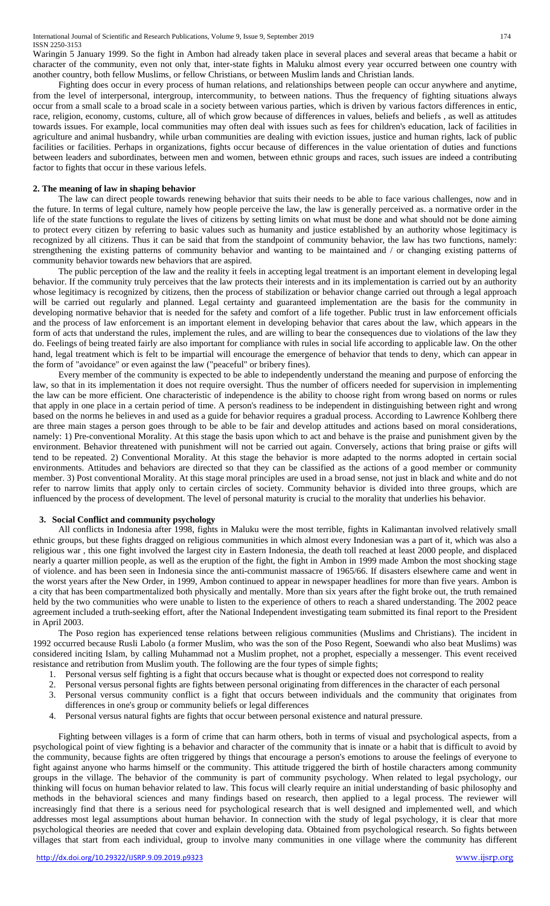Waringin 5 January 1999. So the fight in Ambon had already taken place in several places and several areas that became a habit or character of the community, even not only that, inter-state fights in Maluku almost every year occurred between one country with another country, both fellow Muslims, or fellow Christians, or between Muslim lands and Christian lands.

Fighting does occur in every process of human relations, and relationships between people can occur anywhere and anytime, from the level of interpersonal, intergroup, intercommunity, to between nations. Thus the frequency of fighting situations always occur from a small scale to a broad scale in a society between various parties, which is driven by various factors differences in entic, race, religion, economy, customs, culture, all of which grow because of differences in values, beliefs and beliefs , as well as attitudes towards issues. For example, local communities may often deal with issues such as fees for children's education, lack of facilities in agriculture and animal husbandry, while urban communities are dealing with eviction issues, justice and human rights, lack of public facilities or facilities. Perhaps in organizations, fights occur because of differences in the value orientation of duties and functions between leaders and subordinates, between men and women, between ethnic groups and races, such issues are indeed a contributing factor to fights that occur in these various lefels.

# **2. The meaning of law in shaping behavior**

The law can direct people towards renewing behavior that suits their needs to be able to face various challenges, now and in the future. In terms of legal culture, namely how people perceive the law, the law is generally perceived as. a normative order in the life of the state functions to regulate the lives of citizens by setting limits on what must be done and what should not be done aiming to protect every citizen by referring to basic values such as humanity and justice established by an authority whose legitimacy is recognized by all citizens. Thus it can be said that from the standpoint of community behavior, the law has two functions, namely: strengthening the existing patterns of community behavior and wanting to be maintained and / or changing existing patterns of community behavior towards new behaviors that are aspired.

The public perception of the law and the reality it feels in accepting legal treatment is an important element in developing legal behavior. If the community truly perceives that the law protects their interests and in its implementation is carried out by an authority whose legitimacy is recognized by citizens, then the process of stabilization or behavior change carried out through a legal approach will be carried out regularly and planned. Legal certainty and guaranteed implementation are the basis for the community in developing normative behavior that is needed for the safety and comfort of a life together. Public trust in law enforcement officials and the process of law enforcement is an important element in developing behavior that cares about the law, which appears in the form of acts that understand the rules, implement the rules, and are willing to bear the consequences due to violations of the law they do. Feelings of being treated fairly are also important for compliance with rules in social life according to applicable law. On the other hand, legal treatment which is felt to be impartial will encourage the emergence of behavior that tends to deny, which can appear in the form of "avoidance" or even against the law ("peaceful" or bribery fines).

Every member of the community is expected to be able to independently understand the meaning and purpose of enforcing the law, so that in its implementation it does not require oversight. Thus the number of officers needed for supervision in implementing the law can be more efficient. One characteristic of independence is the ability to choose right from wrong based on norms or rules that apply in one place in a certain period of time. A person's readiness to be independent in distinguishing between right and wrong based on the norms he believes in and used as a guide for behavior requires a gradual process. According to Lawrence Kohlberg there are three main stages a person goes through to be able to be fair and develop attitudes and actions based on moral considerations, namely: 1) Pre-conventional Morality. At this stage the basis upon which to act and behave is the praise and punishment given by the environment. Behavior threatened with punishment will not be carried out again. Conversely, actions that bring praise or gifts will tend to be repeated. 2) Conventional Morality. At this stage the behavior is more adapted to the norms adopted in certain social environments. Attitudes and behaviors are directed so that they can be classified as the actions of a good member or community member. 3) Post conventional Morality. At this stage moral principles are used in a broad sense, not just in black and white and do not refer to narrow limits that apply only to certain circles of society. Community behavior is divided into three groups, which are influenced by the process of development. The level of personal maturity is crucial to the morality that underlies his behavior.

# **3. Social Conflict and community psychology**

All conflicts in Indonesia after 1998, fights in Maluku were the most terrible, fights in Kalimantan involved relatively small ethnic groups, but these fights dragged on religious communities in which almost every Indonesian was a part of it, which was also a religious war , this one fight involved the largest city in Eastern Indonesia, the death toll reached at least 2000 people, and displaced nearly a quarter million people, as well as the eruption of the fight, the fight in Ambon in 1999 made Ambon the most shocking stage of violence. and has been seen in Indonesia since the anti-communist massacre of 1965/66. If disasters elsewhere came and went in the worst years after the New Order, in 1999, Ambon continued to appear in newspaper headlines for more than five years. Ambon is a city that has been compartmentalized both physically and mentally. More than six years after the fight broke out, the truth remained held by the two communities who were unable to listen to the experience of others to reach a shared understanding. The 2002 peace agreement included a truth-seeking effort, after the National Independent investigating team submitted its final report to the President in April 2003.

The Poso region has experienced tense relations between religious communities (Muslims and Christians). The incident in 1992 occurred because Rusli Labolo (a former Muslim, who was the son of the Poso Regent, Soewandi who also beat Muslims) was considered inciting Islam, by calling Muhammad not a Muslim prophet, not a prophet, especially a messenger. This event received resistance and retribution from Muslim youth. The following are the four types of simple fights;

- 1. Personal versus self fighting is a fight that occurs because what is thought or expected does not correspond to reality
- 2. Personal versus personal fights are fights between personal originating from differences in the character of each personal
- 3. Personal versus community conflict is a fight that occurs between individuals and the community that originates from differences in one's group or community beliefs or legal differences
- 4. Personal versus natural fights are fights that occur between personal existence and natural pressure.

Fighting between villages is a form of crime that can harm others, both in terms of visual and psychological aspects, from a psychological point of view fighting is a behavior and character of the community that is innate or a habit that is difficult to avoid by the community, because fights are often triggered by things that encourage a person's emotions to arouse the feelings of everyone to fight against anyone who harms himself or the community. This attitude triggered the birth of hostile characters among community groups in the village. The behavior of the community is part of community psychology. When related to legal psychology, our thinking will focus on human behavior related to law. This focus will clearly require an initial understanding of basic philosophy and methods in the behavioral sciences and many findings based on research, then applied to a legal process. The reviewer will increasingly find that there is a serious need for psychological research that is well designed and implemented well, and which addresses most legal assumptions about human behavior. In connection with the study of legal psychology, it is clear that more psychological theories are needed that cover and explain developing data. Obtained from psychological research. So fights between villages that start from each individual, group to involve many communities in one village where the community has different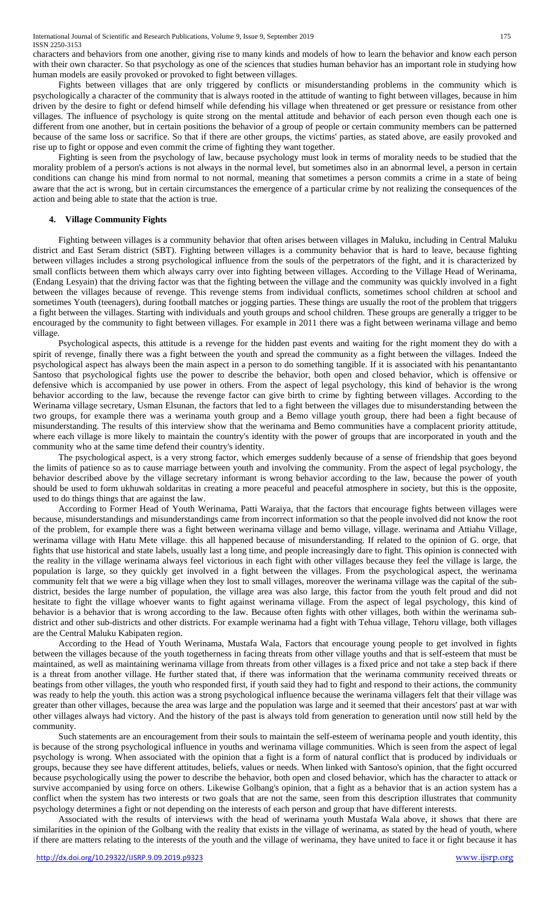characters and behaviors from one another, giving rise to many kinds and models of how to learn the behavior and know each person with their own character. So that psychology as one of the sciences that studies human behavior has an important role in studying how human models are easily provoked or provoked to fight between villages.

Fights between villages that are only triggered by conflicts or misunderstanding problems in the community which is psychologically a character of the community that is always rooted in the attitude of wanting to fight between villages, because in him driven by the desire to fight or defend himself while defending his village when threatened or get pressure or resistance from other villages. The influence of psychology is quite strong on the mental attitude and behavior of each person even though each one is different from one another, but in certain positions the behavior of a group of people or certain community members can be patterned because of the same loss or sacrifice. So that if there are other groups, the victims' parties, as stated above, are easily provoked and rise up to fight or oppose and even commit the crime of fighting they want together.

Fighting is seen from the psychology of law, because psychology must look in terms of morality needs to be studied that the morality problem of a person's actions is not always in the normal level, but sometimes also in an abnormal level, a person in certain conditions can change his mind from normal to not normal, meaning that sometimes a person commits a crime in a state of being aware that the act is wrong, but in certain circumstances the emergence of a particular crime by not realizing the consequences of the action and being able to state that the action is true.

# **4. Village Community Fights**

Fighting between villages is a community behavior that often arises between villages in Maluku, including in Central Maluku district and East Seram district (SBT). Fighting between villages is a community behavior that is hard to leave, because fighting between villages includes a strong psychological influence from the souls of the perpetrators of the fight, and it is characterized by small conflicts between them which always carry over into fighting between villages. According to the Village Head of Werinama, (Endang Lesyain) that the driving factor was that the fighting between the village and the community was quickly involved in a fight between the villages because of revenge. This revenge stems from individual conflicts, sometimes school children at school and sometimes Youth (teenagers), during football matches or jogging parties. These things are usually the root of the problem that triggers a fight between the villages. Starting with individuals and youth groups and school children. These groups are generally a trigger to be encouraged by the community to fight between villages. For example in 2011 there was a fight between werinama village and bemo village.

Psychological aspects, this attitude is a revenge for the hidden past events and waiting for the right moment they do with a spirit of revenge, finally there was a fight between the youth and spread the community as a fight between the villages. Indeed the psychological aspect has always been the main aspect in a person to do something tangible. If it is associated with his penantantanto Santoso that psychological fights use the power to describe the behavior, both open and closed behavior, which is offensive or defensive which is accompanied by use power in others. From the aspect of legal psychology, this kind of behavior is the wrong behavior according to the law, because the revenge factor can give birth to crime by fighting between villages. According to the Werinama village secretary, Usman Elsunan, the factors that led to a fight between the villages due to misunderstanding between the two groups, for example there was a werinama youth group and a Bemo village youth group, there had been a fight because of misunderstanding. The results of this interview show that the werinama and Bemo communities have a complacent priority attitude, where each village is more likely to maintain the country's identity with the power of groups that are incorporated in youth and the community who at the same time defend their country's identity.

The psychological aspect, is a very strong factor, which emerges suddenly because of a sense of friendship that goes beyond the limits of patience so as to cause marriage between youth and involving the community. From the aspect of legal psychology, the behavior described above by the village secretary informant is wrong behavior according to the law, because the power of youth should be used to form ukhuwah soldaritas in creating a more peaceful and peaceful atmosphere in society, but this is the opposite, used to do things things that are against the law.

According to Former Head of Youth Werinama, Patti Waraiya, that the factors that encourage fights between villages were because, misunderstandings and misunderstandings came from incorrect information so that the people involved did not know the root of the problem, for example there was a fight between werinama village and bemo village, village. werinama and Attiahu Village, werinama village with Hatu Mete village. this all happened because of misunderstanding. If related to the opinion of G. orge, that fights that use historical and state labels, usually last a long time, and people increasingly dare to fight. This opinion is connected with the reality in the village werinama always feel victorious in each fight with other villages because they feel the village is large, the population is large, so they quickly get involved in a fight between the villages. From the psychological aspect, the werinama community felt that we were a big village when they lost to small villages, moreover the werinama village was the capital of the subdistrict, besides the large number of population, the village area was also large, this factor from the youth felt proud and did not hesitate to fight the village whoever wants to fight against werinama village. From the aspect of legal psychology, this kind of behavior is a behavior that is wrong according to the law. Because often fights with other villages, both within the werinama subdistrict and other sub-districts and other districts. For example werinama had a fight with Tehua village, Tehoru village, both villages are the Central Maluku Kabipaten region.

According to the Head of Youth Werinama, Mustafa Wala, Factors that encourage young people to get involved in fights between the villages because of the youth togetherness in facing threats from other village youths and that is self-esteem that must be maintained, as well as maintaining werinama village from threats from other villages is a fixed price and not take a step back if there is a threat from another village. He further stated that, if there was information that the werinama community received threats or beatings from other villages, the youth who responded first, if youth said they had to fight and respond to their actions, the community was ready to help the youth. this action was a strong psychological influence because the werinama villagers felt that their village was greater than other villages, because the area was large and the population was large and it seemed that their ancestors' past at war with other villages always had victory. And the history of the past is always told from generation to generation until now still held by the community.

Such statements are an encouragement from their souls to maintain the self-esteem of werinama people and youth identity, this is because of the strong psychological influence in youths and werinama village communities. Which is seen from the aspect of legal psychology is wrong. When associated with the opinion that a fight is a form of natural conflict that is produced by individuals or groups, because they see have different attitudes, beliefs, values or needs. When linked with Santoso's opinion, that the fight occurred because psychologically using the power to describe the behavior, both open and closed behavior, which has the character to attack or survive accompanied by using force on others. Likewise Golbang's opinion, that a fight as a behavior that is an action system has a conflict when the system has two interests or two goals that are not the same, seen from this description illustrates that community psychology determines a fight or not depending on the interests of each person and group that have different interests.

Associated with the results of interviews with the head of werinama youth Mustafa Wala above, it shows that there are similarities in the opinion of the Golbang with the reality that exists in the village of werinama, as stated by the head of youth, where if there are matters relating to the interests of the youth and the village of werinama, they have united to face it or fight because it has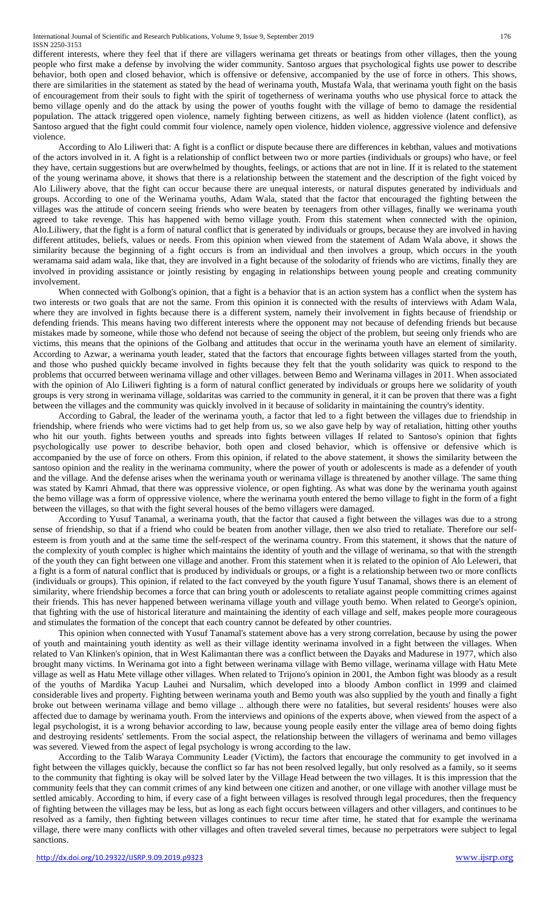International Journal of Scientific and Research Publications, Volume 9, Issue 9, September 2019 176 ISSN 2250-3153

different interests, where they feel that if there are villagers werinama get threats or beatings from other villages, then the young people who first make a defense by involving the wider community. Santoso argues that psychological fights use power to describe behavior, both open and closed behavior, which is offensive or defensive, accompanied by the use of force in others. This shows, there are similarities in the statement as stated by the head of werinama youth, Mustafa Wala, that werinama youth fight on the basis of encouragement from their souls to fight with the spirit of togetherness of werinama youths who use physical force to attack the bemo village openly and do the attack by using the power of youths fought with the village of bemo to damage the residential population. The attack triggered open violence, namely fighting between citizens, as well as hidden violence (latent conflict), as Santoso argued that the fight could commit four violence, namely open violence, hidden violence, aggressive violence and defensive violence.

According to Alo Liliweri that: A fight is a conflict or dispute because there are differences in kebthan, values and motivations of the actors involved in it. A fight is a relationship of conflict between two or more parties (individuals or groups) who have, or feel they have, certain suggestions but are overwhelmed by thoughts, feelings, or actions that are not in line. If it is related to the statement of the young werinama above, it shows that there is a relationship between the statement and the description of the fight voiced by Alo Liliwery above, that the fight can occur because there are unequal interests, or natural disputes generated by individuals and groups. According to one of the Werinama youths, Adam Wala, stated that the factor that encouraged the fighting between the villages was the attitude of concern seeing friends who were beaten by teenagers from other villages, finally we werinama youth agreed to take revenge. This has happened with bemo village youth. From this statement when connected with the opinion, Alo.Liliwery, that the fight is a form of natural conflict that is generated by individuals or groups, because they are involved in having different attitudes, beliefs, values or needs. From this opinion when viewed from the statement of Adam Wala above, it shows the similarity because the beginning of a fight occurs is from an individual and then involves a group, which occurs in the youth weramama said adam wala, like that, they are involved in a fight because of the solodarity of friends who are victims, finally they are involved in providing assistance or jointly resisting by engaging in relationships between young people and creating community involvement.

When connected with Golbong's opinion, that a fight is a behavior that is an action system has a conflict when the system has two interests or two goals that are not the same. From this opinion it is connected with the results of interviews with Adam Wala, where they are involved in fights because there is a different system, namely their involvement in fights because of friendship or defending friends. This means having two different interests where the opponent may not because of defending friends but because mistakes made by someone, while those who defend not because of seeing the object of the problem, but seeing only friends who are victims, this means that the opinions of the Golbang and attitudes that occur in the werinama youth have an element of similarity. According to Azwar, a werinama youth leader, stated that the factors that encourage fights between villages started from the youth, and those who pushed quickly became involved in fights because they felt that the youth solidarity was quick to respond to the problems that occurred between werinama village and other villages. between Bemo and Werinama villages in 2011. When associated with the opinion of Alo Liliweri fighting is a form of natural conflict generated by individuals or groups here we solidarity of youth groups is very strong in werinama village, soldaritas was carried to the community in general, it it can be proven that there was a fight between the villages and the community was quickly involved in it because of solidarity in maintaining the country's identity.

According to Gabral, the leader of the werinama youth, a factor that led to a fight between the villages due to friendship in friendship, where friends who were victims had to get help from us, so we also gave help by way of retaliation, hitting other youths who hit our youth. fights between youths and spreads into fights between villages If related to Santoso's opinion that fights psychologically use power to describe behavior, both open and closed behavior, which is offensive or defensive which is accompanied by the use of force on others. From this opinion, if related to the above statement, it shows the similarity between the santoso opinion and the reality in the werinama community, where the power of youth or adolescents is made as a defender of youth and the village. And the defense arises when the werinama youth or werinama village is threatened by another village. The same thing was stated by Kamri Ahmad, that there was oppressive violence, or open fighting. As what was done by the werinama youth against the bemo village was a form of oppressive violence, where the werinama youth entered the bemo village to fight in the form of a fight between the villages, so that with the fight several houses of the bemo villagers were damaged.

According to Yusuf Tanamal, a werinama youth, that the factor that caused a fight between the villages was due to a strong sense of friendship, so that if a friend who could be beaten from another village, then we also tried to retaliate. Therefore our selfesteem is from youth and at the same time the self-respect of the werinama country. From this statement, it shows that the nature of the complexity of youth complec is higher which maintains the identity of youth and the village of werinama, so that with the strength of the youth they can fight between one village and another. From this statement when it is related to the opinion of Alo Leleweri, that a fight is a form of natural conflict that is produced by individuals or groups, or a fight is a relationship between two or more conflicts (individuals or groups). This opinion, if related to the fact conveyed by the youth figure Yusuf Tanamal, shows there is an element of similarity, where friendship becomes a force that can bring youth or adolescents to retaliate against people committing crimes against their friends. This has never happened between werinama village youth and village youth bemo. When related to George's opinion, that fighting with the use of historical literature and maintaining the identity of each village and self, makes people more courageous and stimulates the formation of the concept that each country cannot be defeated by other countries.

This opinion when connected with Yusuf Tanamal's statement above has a very strong correlation, because by using the power of youth and maintaining youth identity as well as their village identity werinama involved in a fight between the villages. When related to Van Klinken's opinion, that in West Kalimantan there was a conflict between the Dayaks and Madurese in 1977, which also brought many victims. In Werinama got into a fight between werinama village with Bemo village, werinama village with Hatu Mete village as well as Hatu Mete village other villages. When related to Trijono's opinion in 2001, the Ambon fight was bloody as a result of the youths of Mardika Yacup Lauhei and Nursalim, which developed into a bloody Ambon conflict in 1999 and claimed considerable lives and property. Fighting between werinama youth and Bemo youth was also supplied by the youth and finally a fight broke out between werinama village and bemo village .. although there were no fatalities, but several residents' houses were also affected due to damage by werinama youth. From the interviews and opinions of the experts above, when viewed from the aspect of a legal psychologist, it is a wrong behavior according to law, because young people easily enter the village area of bemo doing fights and destroying residents' settlements. From the social aspect, the relationship between the villagers of werinama and bemo villages was severed. Viewed from the aspect of legal psychology is wrong according to the law.

According to the Talib Waraya Community Leader (Victim), the factors that encourage the community to get involved in a fight between the villages quickly, because the conflict so far has not been resolved legally, but only resolved as a family, so it seems to the community that fighting is okay will be solved later by the Village Head between the two villages. It is this impression that the community feels that they can commit crimes of any kind between one citizen and another, or one village with another village must be settled amicably. According to him, if every case of a fight between villages is resolved through legal procedures, then the frequency of fighting between the villages may be less, but as long as each fight occurs between villagers and other villagers, and continues to be resolved as a family, then fighting between villages continues to recur time after time, he stated that for example the werinama village, there were many conflicts with other villages and often traveled several times, because no perpetrators were subject to legal sanctions.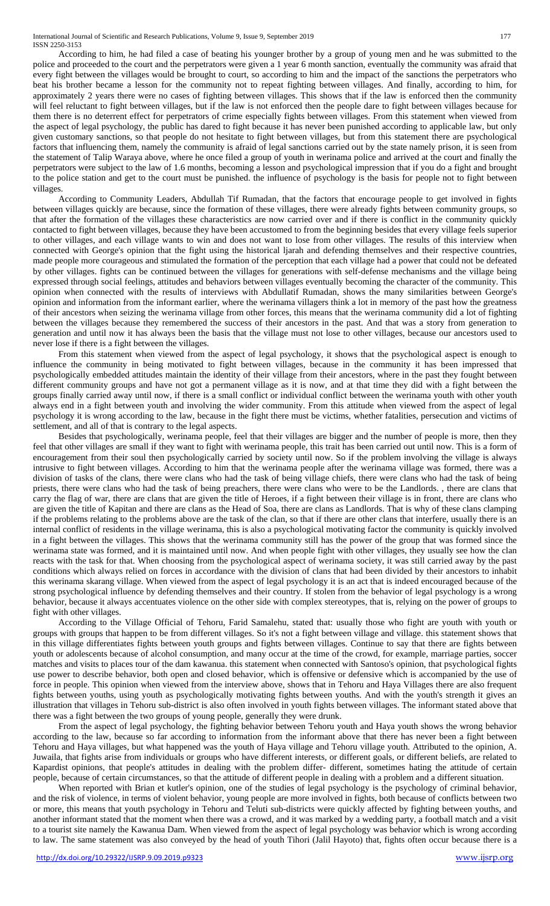According to him, he had filed a case of beating his younger brother by a group of young men and he was submitted to the police and proceeded to the court and the perpetrators were given a 1 year 6 month sanction, eventually the community was afraid that every fight between the villages would be brought to court, so according to him and the impact of the sanctions the perpetrators who beat his brother became a lesson for the community not to repeat fighting between villages. And finally, according to him, for approximately 2 years there were no cases of fighting between villages. This shows that if the law is enforced then the community will feel reluctant to fight between villages, but if the law is not enforced then the people dare to fight between villages because for them there is no deterrent effect for perpetrators of crime especially fights between villages. From this statement when viewed from the aspect of legal psychology, the public has dared to fight because it has never been punished according to applicable law, but only given customary sanctions, so that people do not hesitate to fight between villages, but from this statement there are psychological factors that influencing them, namely the community is afraid of legal sanctions carried out by the state namely prison, it is seen from the statement of Talip Waraya above, where he once filed a group of youth in werinama police and arrived at the court and finally the perpetrators were subject to the law of 1.6 months, becoming a lesson and psychological impression that if you do a fight and brought to the police station and get to the court must be punished. the influence of psychology is the basis for people not to fight between villages.

According to Community Leaders, Abdullah Tif Rumadan, that the factors that encourage people to get involved in fights between villages quickly are because, since the formation of these villages, there were already fights between community groups, so that after the formation of the villages these characteristics are now carried over and if there is conflict in the community quickly contacted to fight between villages, because they have been accustomed to from the beginning besides that every village feels superior to other villages, and each village wants to win and does not want to lose from other villages. The results of this interview when connected with George's opinion that the fight using the historical ljarah and defending themselves and their respective countries, made people more courageous and stimulated the formation of the perception that each village had a power that could not be defeated by other villages. fights can be continued between the villages for generations with self-defense mechanisms and the village being expressed through social feelings, attitudes and behaviors between villages eventually becoming the character of the community. This opinion when connected with the results of interviews with Abdullatif Rumadan, shows the many similarities between George's opinion and information from the informant earlier, where the werinama villagers think a lot in memory of the past how the greatness of their ancestors when seizing the werinama village from other forces, this means that the werinama community did a lot of fighting between the villages because they remembered the success of their ancestors in the past. And that was a story from generation to generation and until now it has always been the basis that the village must not lose to other villages, because our ancestors used to never lose if there is a fight between the villages.

From this statement when viewed from the aspect of legal psychology, it shows that the psychological aspect is enough to influence the community in being motivated to fight between villages, because in the community it has been impressed that psychologically embedded attitudes maintain the identity of their village from their ancestors, where in the past they fought between different community groups and have not got a permanent village as it is now, and at that time they did with a fight between the groups finally carried away until now, if there is a small conflict or individual conflict between the werinama youth with other youth always end in a fight between youth and involving the wider community. From this attitude when viewed from the aspect of legal psychology it is wrong according to the law, because in the fight there must be victims, whether fatalities, persecution and victims of settlement, and all of that is contrary to the legal aspects.

Besides that psychologically, werinama people, feel that their villages are bigger and the number of people is more, then they feel that other villages are small if they want to fight with werinama people, this trait has been carried out until now. This is a form of encouragement from their soul then psychologically carried by society until now. So if the problem involving the village is always intrusive to fight between villages. According to him that the werinama people after the werinama village was formed, there was a division of tasks of the clans, there were clans who had the task of being village chiefs, there were clans who had the task of being priests, there were clans who had the task of being preachers, there were clans who were to be the Landlords. , there are clans that carry the flag of war, there are clans that are given the title of Heroes, if a fight between their village is in front, there are clans who are given the title of Kapitan and there are clans as the Head of Soa, there are clans as Landlords. That is why of these clans clamping if the problems relating to the problems above are the task of the clan, so that if there are other clans that interfere, usually there is an internal conflict of residents in the village werinama, this is also a psychological motivating factor the community is quickly involved in a fight between the villages. This shows that the werinama community still has the power of the group that was formed since the werinama state was formed, and it is maintained until now. And when people fight with other villages, they usually see how the clan reacts with the task for that. When choosing from the psychological aspect of werinama society, it was still carried away by the past conditions which always relied on forces in accordance with the division of clans that had been divided by their ancestors to inhabit this werinama skarang village. When viewed from the aspect of legal psychology it is an act that is indeed encouraged because of the strong psychological influence by defending themselves and their country. If stolen from the behavior of legal psychology is a wrong behavior, because it always accentuates violence on the other side with complex stereotypes, that is, relying on the power of groups to fight with other villages.

According to the Village Official of Tehoru, Farid Samalehu, stated that: usually those who fight are youth with youth or groups with groups that happen to be from different villages. So it's not a fight between village and village. this statement shows that in this village differentiates fights between youth groups and fights between villages. Continue to say that there are fights between youth or adolescents because of alcohol consumption, and many occur at the time of the crowd, for example, marriage parties, soccer matches and visits to places tour of the dam kawanua. this statement when connected with Santoso's opinion, that psychological fights use power to describe behavior, both open and closed behavior, which is offensive or defensive which is accompanied by the use of force in people. This opinion when viewed from the interview above, shows that in Tehoru and Haya Villages there are also frequent fights between youths, using youth as psychologically motivating fights between youths. And with the youth's strength it gives an illustration that villages in Tehoru sub-district is also often involved in youth fights between villages. The informant stated above that there was a fight between the two groups of young people, generally they were drunk.

From the aspect of legal psychology, the fighting behavior between Tehoru youth and Haya youth shows the wrong behavior according to the law, because so far according to information from the informant above that there has never been a fight between Tehoru and Haya villages, but what happened was the youth of Haya village and Tehoru village youth. Attributed to the opinion, A. Juwaila, that fights arise from individuals or groups who have different interests, or different goals, or different beliefs, are related to Kapardist opinions, that people's attitudes in dealing with the problem differ- different, sometimes hating the attitude of certain people, because of certain circumstances, so that the attitude of different people in dealing with a problem and a different situation.

When reported with Brian et kutler's opinion, one of the studies of legal psychology is the psychology of criminal behavior, and the risk of violence, in terms of violent behavior, young people are more involved in fights, both because of conflicts between two or more, this means that youth psychology in Tehoru and Teluti sub-districts were quickly affected by fighting between youths, and another informant stated that the moment when there was a crowd, and it was marked by a wedding party, a football match and a visit to a tourist site namely the Kawanua Dam. When viewed from the aspect of legal psychology was behavior which is wrong according to law. The same statement was also conveyed by the head of youth Tihori (Jalil Hayoto) that, fights often occur because there is a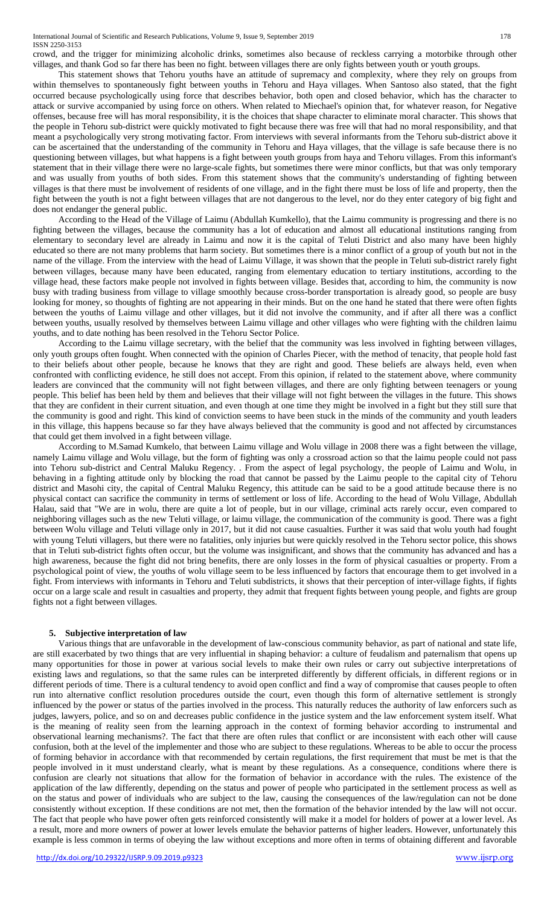crowd, and the trigger for minimizing alcoholic drinks, sometimes also because of reckless carrying a motorbike through other villages, and thank God so far there has been no fight. between villages there are only fights between youth or youth groups.

This statement shows that Tehoru youths have an attitude of supremacy and complexity, where they rely on groups from within themselves to spontaneously fight between youths in Tehoru and Haya villages. When Santoso also stated, that the fight occurred because psychologically using force that describes behavior, both open and closed behavior, which has the character to attack or survive accompanied by using force on others. When related to Miechael's opinion that, for whatever reason, for Negative offenses, because free will has moral responsibility, it is the choices that shape character to eliminate moral character. This shows that the people in Tehoru sub-district were quickly motivated to fight because there was free will that had no moral responsibility, and that meant a psychologically very strong motivating factor. From interviews with several informants from the Tehoru sub-district above it can be ascertained that the understanding of the community in Tehoru and Haya villages, that the village is safe because there is no questioning between villages, but what happens is a fight between youth groups from haya and Tehoru villages. From this informant's statement that in their village there were no large-scale fights, but sometimes there were minor conflicts, but that was only temporary and was usually from youths of both sides. From this statement shows that the community's understanding of fighting between villages is that there must be involvement of residents of one village, and in the fight there must be loss of life and property, then the fight between the youth is not a fight between villages that are not dangerous to the level, nor do they enter category of big fight and does not endanger the general public.

According to the Head of the Village of Laimu (Abdullah Kumkello), that the Laimu community is progressing and there is no fighting between the villages, because the community has a lot of education and almost all educational institutions ranging from elementary to secondary level are already in Laimu and now it is the capital of Teluti District and also many have been highly educated so there are not many problems that harm society. But sometimes there is a minor conflict of a group of youth but not in the name of the village. From the interview with the head of Laimu Village, it was shown that the people in Teluti sub-district rarely fight between villages, because many have been educated, ranging from elementary education to tertiary institutions, according to the village head, these factors make people not involved in fights between village. Besides that, according to him, the community is now busy with trading business from village to village smoothly because cross-border transportation is already good, so people are busy looking for money, so thoughts of fighting are not appearing in their minds. But on the one hand he stated that there were often fights between the youths of Laimu village and other villages, but it did not involve the community, and if after all there was a conflict between youths, usually resolved by themselves between Laimu village and other villages who were fighting with the children laimu youths, and to date nothing has been resolved in the Tehoru Sector Police.

According to the Laimu village secretary, with the belief that the community was less involved in fighting between villages, only youth groups often fought. When connected with the opinion of Charles Piecer, with the method of tenacity, that people hold fast to their beliefs about other people, because he knows that they are right and good. These beliefs are always held, even when confronted with conflicting evidence, he still does not accept. From this opinion, if related to the statement above, where community leaders are convinced that the community will not fight between villages, and there are only fighting between teenagers or young people. This belief has been held by them and believes that their village will not fight between the villages in the future. This shows that they are confident in their current situation, and even though at one time they might be involved in a fight but they still sure that the community is good and right. This kind of conviction seems to have been stuck in the minds of the community and youth leaders in this village, this happens because so far they have always believed that the community is good and not affected by circumstances that could get them involved in a fight between village.

According to M.Samad Kumkelo, that between Laimu village and Wolu village in 2008 there was a fight between the village, namely Laimu village and Wolu village, but the form of fighting was only a crossroad action so that the laimu people could not pass into Tehoru sub-district and Central Maluku Regency. . From the aspect of legal psychology, the people of Laimu and Wolu, in behaving in a fighting attitude only by blocking the road that cannot be passed by the Laimu people to the capital city of Tehoru district and Masohi city, the capital of Central Maluku Regency, this attitude can be said to be a good attitude because there is no physical contact can sacrifice the community in terms of settlement or loss of life. According to the head of Wolu Village, Abdullah Halau, said that "We are in wolu, there are quite a lot of people, but in our village, criminal acts rarely occur, even compared to neighboring villages such as the new Teluti village, or laimu village, the communication of the community is good. There was a fight between Wolu village and Teluti village only in 2017, but it did not cause casualties. Further it was said that wolu youth had fought with young Teluti villagers, but there were no fatalities, only injuries but were quickly resolved in the Tehoru sector police, this shows that in Teluti sub-district fights often occur, but the volume was insignificant, and shows that the community has advanced and has a high awareness, because the fight did not bring benefits, there are only losses in the form of physical casualties or property. From a psychological point of view, the youths of wolu village seem to be less influenced by factors that encourage them to get involved in a fight. From interviews with informants in Tehoru and Teluti subdistricts, it shows that their perception of inter-village fights, if fights occur on a large scale and result in casualties and property, they admit that frequent fights between young people, and fights are group fights not a fight between villages.

#### **5. Subjective interpretation of law**

Various things that are unfavorable in the development of law-conscious community behavior, as part of national and state life, are still exacerbated by two things that are very influential in shaping behavior: a culture of feudalism and paternalism that opens up many opportunities for those in power at various social levels to make their own rules or carry out subjective interpretations of existing laws and regulations, so that the same rules can be interpreted differently by different officials, in different regions or in different periods of time. There is a cultural tendency to avoid open conflict and find a way of compromise that causes people to often run into alternative conflict resolution procedures outside the court, even though this form of alternative settlement is strongly influenced by the power or status of the parties involved in the process. This naturally reduces the authority of law enforcers such as judges, lawyers, police, and so on and decreases public confidence in the justice system and the law enforcement system itself. What is the meaning of reality seen from the learning approach in the context of forming behavior according to instrumental and observational learning mechanisms?. The fact that there are often rules that conflict or are inconsistent with each other will cause confusion, both at the level of the implementer and those who are subject to these regulations. Whereas to be able to occur the process of forming behavior in accordance with that recommended by certain regulations, the first requirement that must be met is that the people involved in it must understand clearly, what is meant by these regulations. As a consequence, conditions where there is confusion are clearly not situations that allow for the formation of behavior in accordance with the rules. The existence of the application of the law differently, depending on the status and power of people who participated in the settlement process as well as on the status and power of individuals who are subject to the law, causing the consequences of the law/regulation can not be done consistently without exception. If these conditions are not met, then the formation of the behavior intended by the law will not occur. The fact that people who have power often gets reinforced consistently will make it a model for holders of power at a lower level. As a result, more and more owners of power at lower levels emulate the behavior patterns of higher leaders. However, unfortunately this example is less common in terms of obeying the law without exceptions and more often in terms of obtaining different and favorable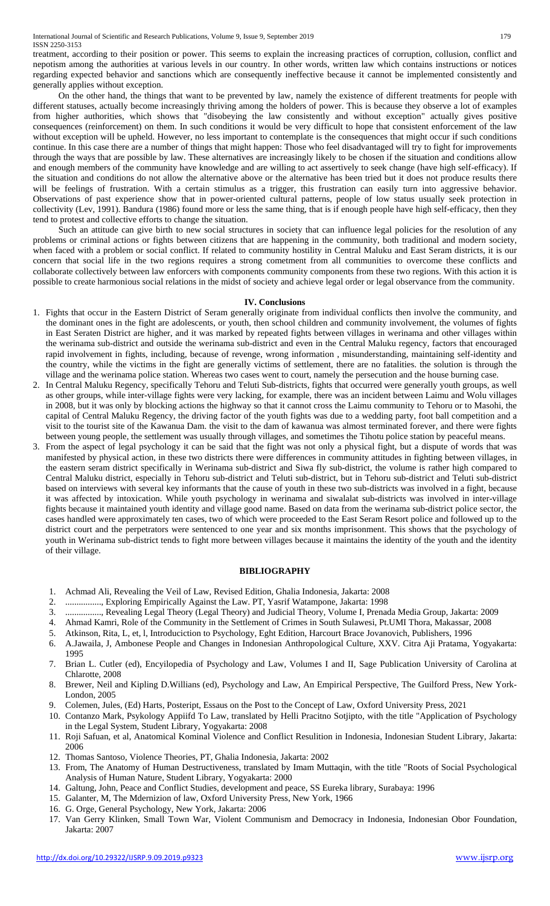treatment, according to their position or power. This seems to explain the increasing practices of corruption, collusion, conflict and nepotism among the authorities at various levels in our country. In other words, written law which contains instructions or notices regarding expected behavior and sanctions which are consequently ineffective because it cannot be implemented consistently and generally applies without exception.

On the other hand, the things that want to be prevented by law, namely the existence of different treatments for people with different statuses, actually become increasingly thriving among the holders of power. This is because they observe a lot of examples from higher authorities, which shows that "disobeying the law consistently and without exception" actually gives positive consequences (reinforcement) on them. In such conditions it would be very difficult to hope that consistent enforcement of the law without exception will be upheld. However, no less important to contemplate is the consequences that might occur if such conditions continue. In this case there are a number of things that might happen: Those who feel disadvantaged will try to fight for improvements through the ways that are possible by law. These alternatives are increasingly likely to be chosen if the situation and conditions allow and enough members of the community have knowledge and are willing to act assertively to seek change (have high self-efficacy). If the situation and conditions do not allow the alternative above or the alternative has been tried but it does not produce results there will be feelings of frustration. With a certain stimulus as a trigger, this frustration can easily turn into aggressive behavior. Observations of past experience show that in power-oriented cultural patterns, people of low status usually seek protection in collectivity (Lev, 1991). Bandura (1986) found more or less the same thing, that is if enough people have high self-efficacy, then they tend to protest and collective efforts to change the situation.

Such an attitude can give birth to new social structures in society that can influence legal policies for the resolution of any problems or criminal actions or fights between citizens that are happening in the community, both traditional and modern society, when faced with a problem or social conflict. If related to community hostility in Central Maluku and East Seram districts, it is our concern that social life in the two regions requires a strong cometment from all communities to overcome these conflicts and collaborate collectively between law enforcers with components community components from these two regions. With this action it is possible to create harmonious social relations in the midst of society and achieve legal order or legal observance from the community.

#### **IV. Conclusions**

- 1. Fights that occur in the Eastern District of Seram generally originate from individual conflicts then involve the community, and the dominant ones in the fight are adolescents, or youth, then school children and community involvement, the volumes of fights in East Seraten District are higher, and it was marked by repeated fights between villages in werinama and other villages within the werinama sub-district and outside the werinama sub-district and even in the Central Maluku regency, factors that encouraged rapid involvement in fights, including, because of revenge, wrong information , misunderstanding, maintaining self-identity and the country, while the victims in the fight are generally victims of settlement, there are no fatalities. the solution is through the village and the werinama police station. Whereas two cases went to court, namely the persecution and the house burning case.
- 2. In Central Maluku Regency, specifically Tehoru and Teluti Sub-districts, fights that occurred were generally youth groups, as well as other groups, while inter-village fights were very lacking, for example, there was an incident between Laimu and Wolu villages in 2008, but it was only by blocking actions the highway so that it cannot cross the Laimu community to Tehoru or to Masohi, the capital of Central Maluku Regency, the driving factor of the youth fights was due to a wedding party, foot ball competition and a visit to the tourist site of the Kawanua Dam. the visit to the dam of kawanua was almost terminated forever, and there were fights between young people, the settlement was usually through villages, and sometimes the Tihotu police station by peaceful means.
- 3. From the aspect of legal psychology it can be said that the fight was not only a physical fight, but a dispute of words that was manifested by physical action, in these two districts there were differences in community attitudes in fighting between villages, in the eastern seram district specifically in Werinama sub-district and Siwa fly sub-district, the volume is rather high compared to Central Maluku district, especially in Tehoru sub-district and Teluti sub-district, but in Tehoru sub-district and Teluti sub-district based on interviews with several key informants that the cause of youth in these two sub-districts was involved in a fight, because it was affected by intoxication. While youth psychology in werinama and siwalalat sub-districts was involved in inter-village fights because it maintained youth identity and village good name. Based on data from the werinama sub-district police sector, the cases handled were approximately ten cases, two of which were proceeded to the East Seram Resort police and followed up to the district court and the perpetrators were sentenced to one year and six months imprisonment. This shows that the psychology of youth in Werinama sub-district tends to fight more between villages because it maintains the identity of the youth and the identity of their village.

#### **BIBLIOGRAPHY**

- 1. Achmad Ali, Revealing the Veil of Law, Revised Edition, Ghalia Indonesia, Jakarta: 2008
- 2. ................, Exploring Empirically Against the Law. PT, Yasrif Watampone, Jakarta: 1998
- 3. ................, Revealing Legal Theory (Legal Theory) and Judicial Theory, Volume I, Prenada Media Group, Jakarta: 2009
- 4. Ahmad Kamri, Role of the Community in the Settlement of Crimes in South Sulawesi, Pt.UMI Thora, Makassar, 2008
- 5. Atkinson, Rita, L, et, l, Introduciction to Psychology, Eght Edition, Harcourt Brace Jovanovich, Publishers, 1996
- 6. A.Jawaila, J, Ambonese People and Changes in Indonesian Anthropological Culture, XXV. Citra Aji Pratama, Yogyakarta: 1995
- 7. Brian L. Cutler (ed), Encyilopedia of Psychology and Law, Volumes I and II, Sage Publication University of Carolina at Chlarotte, 2008
- 8. Brewer, Neil and Kipling D.Willians (ed), Psychology and Law, An Empirical Perspective, The Guilford Press, New York-London, 2005
- 9. Colemen, Jules, (Ed) Harts, Posteript, Essaus on the Post to the Concept of Law, Oxford University Press, 2021
- 10. Contanzo Mark, Psykology Appiifd To Law, translated by Helli Pracitno Sotjipto, with the title "Application of Psychology in the Legal System, Student Library, Yogyakarta: 2008
- 11. Roji Safuan, et al, Anatomical Kominal Violence and Conflict Resulition in Indonesia, Indonesian Student Library, Jakarta: 2006
- 12. Thomas Santoso, Violence Theories, PT, Ghalia Indonesia, Jakarta: 2002
- 13. From, The Anatomy of Human Destructiveness, translated by Imam Muttaqin, with the title "Roots of Social Psychological Analysis of Human Nature, Student Library, Yogyakarta: 2000
- 14. Galtung, John, Peace and Conflict Studies, development and peace, SS Eureka library, Surabaya: 1996
- 15. Galanter, M, The Mdernizion of law, Oxford University Press, New York, 1966
- 16. G. Orge, General Psychology, New York, Jakarta: 2006
- 17. Van Gerry Klinken, Small Town War, Violent Communism and Democracy in Indonesia, Indonesian Obor Foundation, Jakarta: 2007